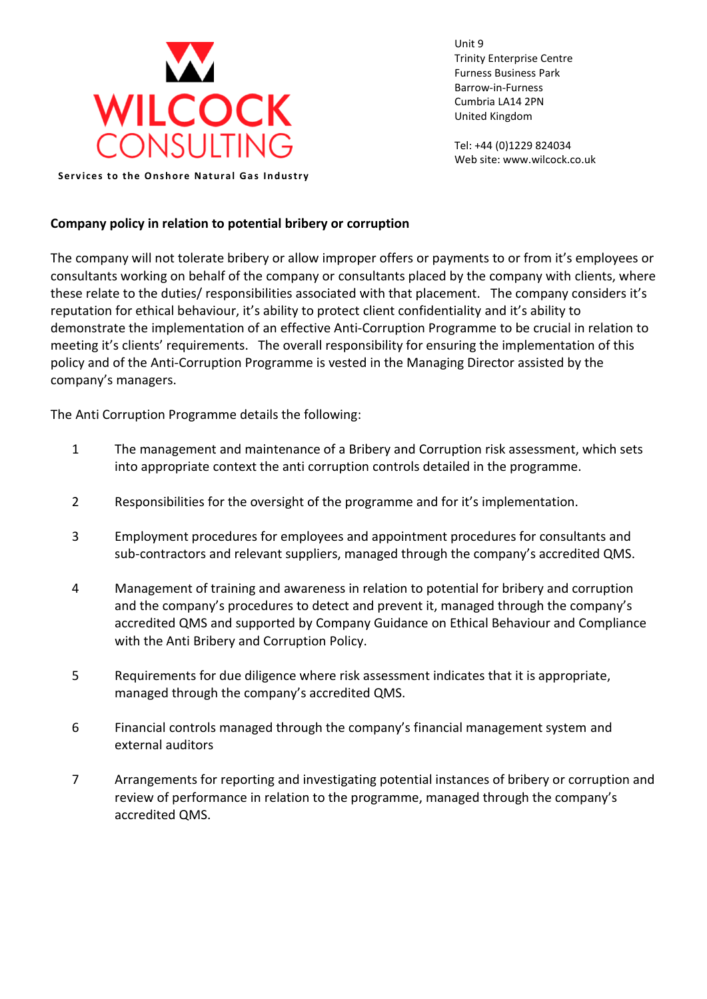

Unit 9 Trinity Enterprise Centre Furness Business Park Barrow-in-Furness Cumbria LA14 2PN United Kingdom

Tel: +44 (0)1229 824034 Web site: www.wilcock.co.uk

**Services to the Onshore Natural Gas Industry** 

## **Company policy in relation to potential bribery or corruption**

The company will not tolerate bribery or allow improper offers or payments to or from it's employees or consultants working on behalf of the company or consultants placed by the company with clients, where these relate to the duties/ responsibilities associated with that placement. The company considers it's reputation for ethical behaviour, it's ability to protect client confidentiality and it's ability to demonstrate the implementation of an effective Anti-Corruption Programme to be crucial in relation to meeting it's clients' requirements. The overall responsibility for ensuring the implementation of this policy and of the Anti-Corruption Programme is vested in the Managing Director assisted by the company's managers.

The Anti Corruption Programme details the following:

- 1 The management and maintenance of a Bribery and Corruption risk assessment, which sets into appropriate context the anti corruption controls detailed in the programme.
- 2 Responsibilities for the oversight of the programme and for it's implementation.
- 3 Employment procedures for employees and appointment procedures for consultants and sub-contractors and relevant suppliers, managed through the company's accredited QMS.
- 4 Management of training and awareness in relation to potential for bribery and corruption and the company's procedures to detect and prevent it, managed through the company's accredited QMS and supported by Company Guidance on Ethical Behaviour and Compliance with the Anti Bribery and Corruption Policy.
- 5 Requirements for due diligence where risk assessment indicates that it is appropriate, managed through the company's accredited QMS.
- 6 Financial controls managed through the company's financial management system and external auditors
- 7 Arrangements for reporting and investigating potential instances of bribery or corruption and review of performance in relation to the programme, managed through the company's accredited QMS.